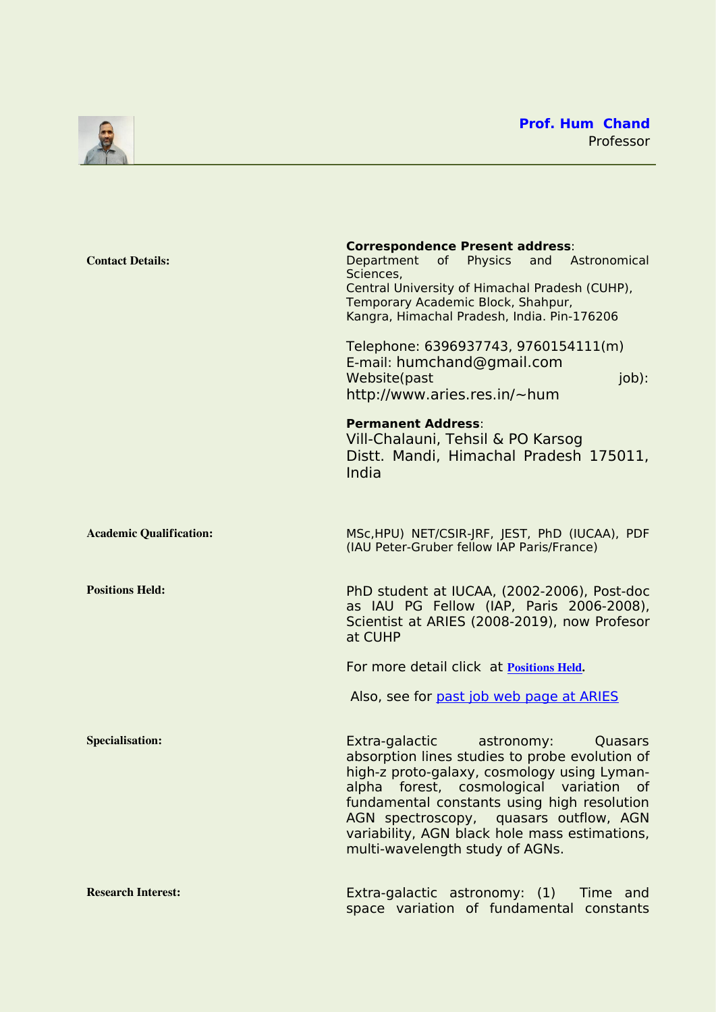<span id="page-0-0"></span>

| <b>Contact Details:</b>        | <b>Correspondence Present address:</b><br>Department of Physics<br>and Astronomical<br>Sciences,<br>Central University of Himachal Pradesh (CUHP),<br>Temporary Academic Block, Shahpur,<br>Kangra, Himachal Pradesh, India. Pin-176206<br>Telephone: 6396937743, 9760154111(m)<br>E-mail: humchand@gmail.com<br>job):<br>Website(past<br>http://www.aries.res.in/~hum |
|--------------------------------|------------------------------------------------------------------------------------------------------------------------------------------------------------------------------------------------------------------------------------------------------------------------------------------------------------------------------------------------------------------------|
|                                | <b>Permanent Address:</b><br>Vill-Chalauni, Tehsil & PO Karsog<br>Distt. Mandi, Himachal Pradesh 175011,<br>India                                                                                                                                                                                                                                                      |
| <b>Academic Qualification:</b> | MSc, HPU) NET/CSIR-JRF, JEST, PhD (IUCAA), PDF<br>(IAU Peter-Gruber fellow IAP Paris/France)                                                                                                                                                                                                                                                                           |
| <b>Positions Held:</b>         | PhD student at IUCAA, (2002-2006), Post-doc<br>as IAU PG Fellow (IAP, Paris 2006-2008),<br>Scientist at ARIES (2008-2019), now Profesor<br>at CUHP                                                                                                                                                                                                                     |
|                                | For more detail click at Positions Held.                                                                                                                                                                                                                                                                                                                               |
|                                | Also, see for past job web page at ARIES                                                                                                                                                                                                                                                                                                                               |
| <b>Specialisation:</b>         | Extra-galactic<br>astronomy:<br>Quasars<br>absorption lines studies to probe evolution of<br>high-z proto-galaxy, cosmology using Lyman-<br>alpha forest, cosmological variation of<br>fundamental constants using high resolution<br>AGN spectroscopy, quasars outflow, AGN<br>variability, AGN black hole mass estimations,<br>multi-wavelength study of AGNs.       |
| <b>Research Interest:</b>      | Extra-galactic astronomy: (1) Time and<br>space variation of fundamental constants                                                                                                                                                                                                                                                                                     |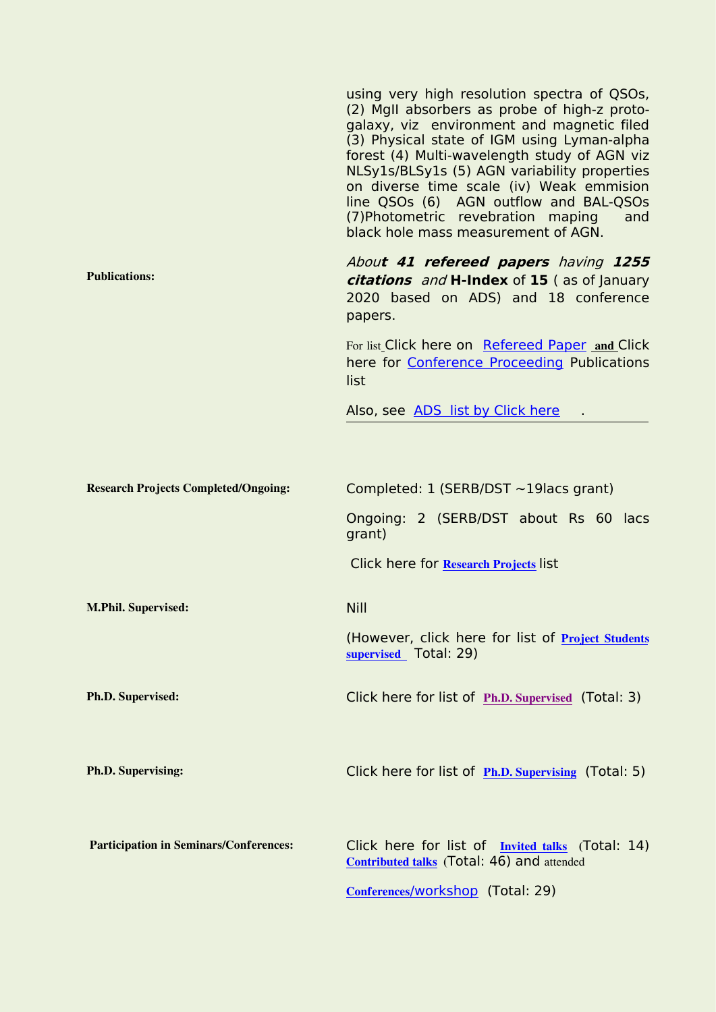|                                               | using very high resolution spectra of QSOs,<br>(2) MgII absorbers as probe of high-z proto-<br>galaxy, viz environment and magnetic filed<br>(3) Physical state of IGM using Lyman-alpha<br>forest (4) Multi-wavelength study of AGN viz<br>NLSy1s/BLSy1s (5) AGN variability properties<br>on diverse time scale (iv) Weak emmision<br>line QSOs (6) AGN outflow and BAL-QSOs<br>(7) Photometric revebration maping<br>and<br>black hole mass measurement of AGN. |
|-----------------------------------------------|--------------------------------------------------------------------------------------------------------------------------------------------------------------------------------------------------------------------------------------------------------------------------------------------------------------------------------------------------------------------------------------------------------------------------------------------------------------------|
| <b>Publications:</b>                          | About 41 refereed papers having 1255<br>citations and H-Index of 15 (as of January<br>2020 based on ADS) and 18 conference<br>papers.                                                                                                                                                                                                                                                                                                                              |
|                                               | For list_Click here on Refereed Paper and Click<br>here for Conference Proceeding Publications<br>list                                                                                                                                                                                                                                                                                                                                                             |
|                                               | Also, see ADS list by Click here                                                                                                                                                                                                                                                                                                                                                                                                                                   |
|                                               |                                                                                                                                                                                                                                                                                                                                                                                                                                                                    |
| <b>Research Projects Completed/Ongoing:</b>   | Completed: $1$ (SERB/DST ~19 lacs grant)                                                                                                                                                                                                                                                                                                                                                                                                                           |
|                                               | Ongoing: 2 (SERB/DST about Rs 60 lacs<br>grant)                                                                                                                                                                                                                                                                                                                                                                                                                    |
|                                               | Click here for Research Projects list                                                                                                                                                                                                                                                                                                                                                                                                                              |
| <b>M.Phil. Supervised:</b>                    | <b>Nill</b>                                                                                                                                                                                                                                                                                                                                                                                                                                                        |
|                                               | (However, click here for list of Project Students<br>supervised Total: 29)                                                                                                                                                                                                                                                                                                                                                                                         |
| Ph.D. Supervised:                             | Click here for list of Ph.D. Supervised (Total: 3)                                                                                                                                                                                                                                                                                                                                                                                                                 |
|                                               |                                                                                                                                                                                                                                                                                                                                                                                                                                                                    |
| Ph.D. Supervising:                            | Click here for list of Ph.D. Supervising (Total: 5)                                                                                                                                                                                                                                                                                                                                                                                                                |
|                                               |                                                                                                                                                                                                                                                                                                                                                                                                                                                                    |
| <b>Participation in Seminars/Conferences:</b> | Click here for list of Invited talks (Total: 14)<br><b>Contributed talks</b> (Total: 46) and attended                                                                                                                                                                                                                                                                                                                                                              |
|                                               | Conferences/workshop (Total: 29)                                                                                                                                                                                                                                                                                                                                                                                                                                   |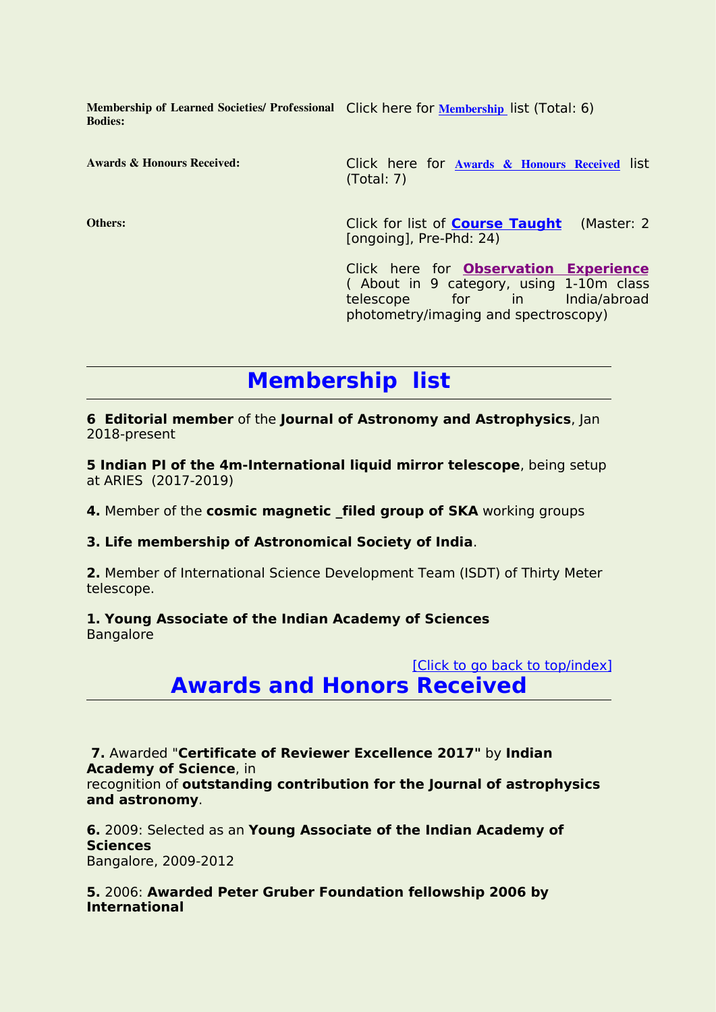**Membership of Learned Societies/ Professional** Click here for **[Membership](#page-2-0)** list (Total: 6) **Bodies:**

**Awards & Honours Received:** Click here for **Awards & Honours [Received](#page-2-1)** list (Total: 7)

**Others:** Click for list of **Course [Taught](#page-19-0)** (Master: 2 [ongoing], Pre-Phd: 24)

> Click here for **[Observation](#page-20-0) Experience** ( About in 9 category, using 1-10m class<br>telescope for in India/abroad telescope for in India/abroad photometry/imaging and spectroscopy)

# <span id="page-2-0"></span>**Membership list**

**6 Editorial member** of the **Journal of Astronomy and Astrophysics**, Jan 2018-present

**5 Indian PI of the 4m-International liquid mirror telescope**, being setup at ARIES (2017-2019)

**4.** Member of the **cosmic magnetic \_filed group of SKA** working groups

**3. Life membership of Astronomical Society of India**.

**2.** Member of International Science Development Team (ISDT) of Thirty Meter telescope.

## **1. Young Associate of the Indian Academy of Sciences**

**Bangalore** 

# <span id="page-2-1"></span>[Click to go back to [top/index\]](#page-0-0) **Awards and Honors Received**

**7.** Awarded "**Certificate of Reviewer Excellence 2017"** by **Indian Academy of Science**, in

recognition of **outstanding contribution for the Journal of astrophysics and astronomy**.

**6.** 2009: Selected as an **Young Associate of the Indian Academy of Sciences** Bangalore, 2009-2012

**5.** 2006: **Awarded Peter Gruber Foundation fellowship 2006 by International**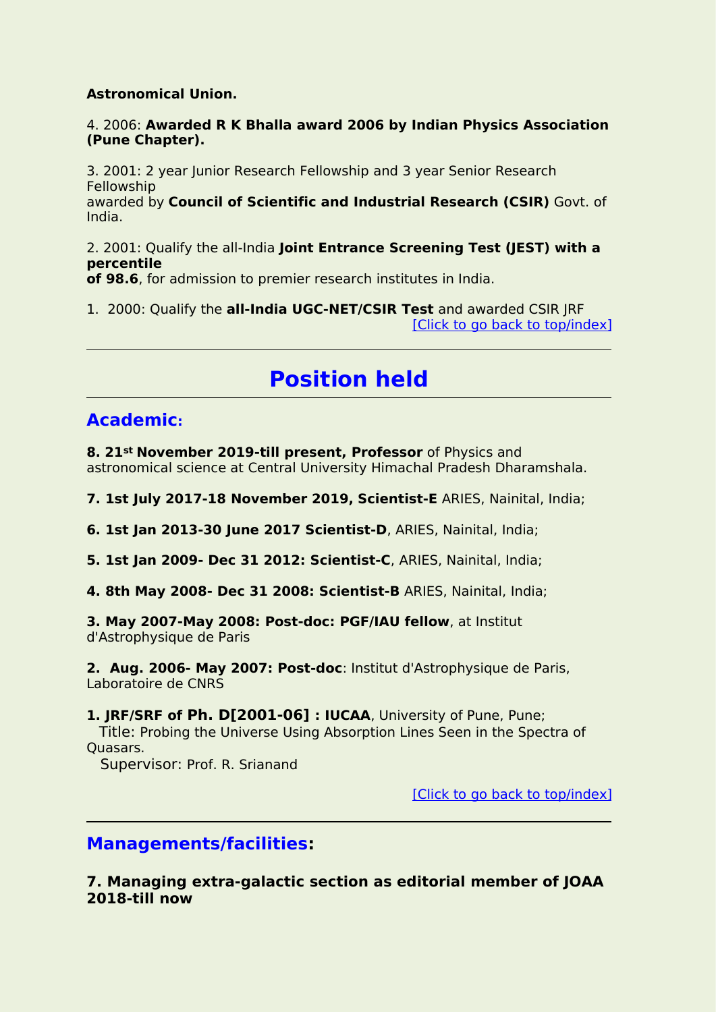## **Astronomical Union.**

## 4. 2006: **Awarded R K Bhalla award 2006 by Indian Physics Association (Pune Chapter).**

3. 2001: 2 year Junior Research Fellowship and 3 year Senior Research Fellowship awarded by **Council of Scientific and Industrial Research (CSIR)** Govt. of India.

2. 2001: Qualify the all-India **Joint Entrance Screening Test (JEST) with a percentile**

**of 98.6**, for admission to premier research institutes in India.

1. 2000: Qualify the **all-India UGC-NET/CSIR Test** and awarded CSIR JRF [Click to go back to [top/index\]](#page-0-0)

# <span id="page-3-0"></span>**Position held**

# **Academic:**

**8. 21st November 2019-till present, Professor** of Physics and astronomical science at Central University Himachal Pradesh Dharamshala.

**7. 1st July 2017-18 November 2019, Scientist-E** ARIES, Nainital, India;

**6. 1st Jan 2013-30 June 2017 Scientist-D**, ARIES, Nainital, India;

**5. 1st Jan 2009- Dec 31 2012: Scientist-C**, ARIES, Nainital, India;

**4. 8th May 2008- Dec 31 2008: Scientist-B** ARIES, Nainital, India;

**3. May 2007-May 2008: Post-doc: PGF/IAU fellow**, at Institut d'Astrophysique de Paris

**2. Aug. 2006- May 2007: Post-doc**: Institut d'Astrophysique de Paris, Laboratoire de CNRS

**1. JRF/SRF of Ph. D[2001-06] : IUCAA**, University of Pune, Pune; Title: Probing the Universe Using Absorption Lines Seen in the Spectra of Quasars.

Supervisor: Prof. R. Srianand

[Click to go back to [top/index\]](#page-0-0)

# **Managements/facilities:**

**7. Managing extra-galactic section as editorial member of JOAA 2018-till now**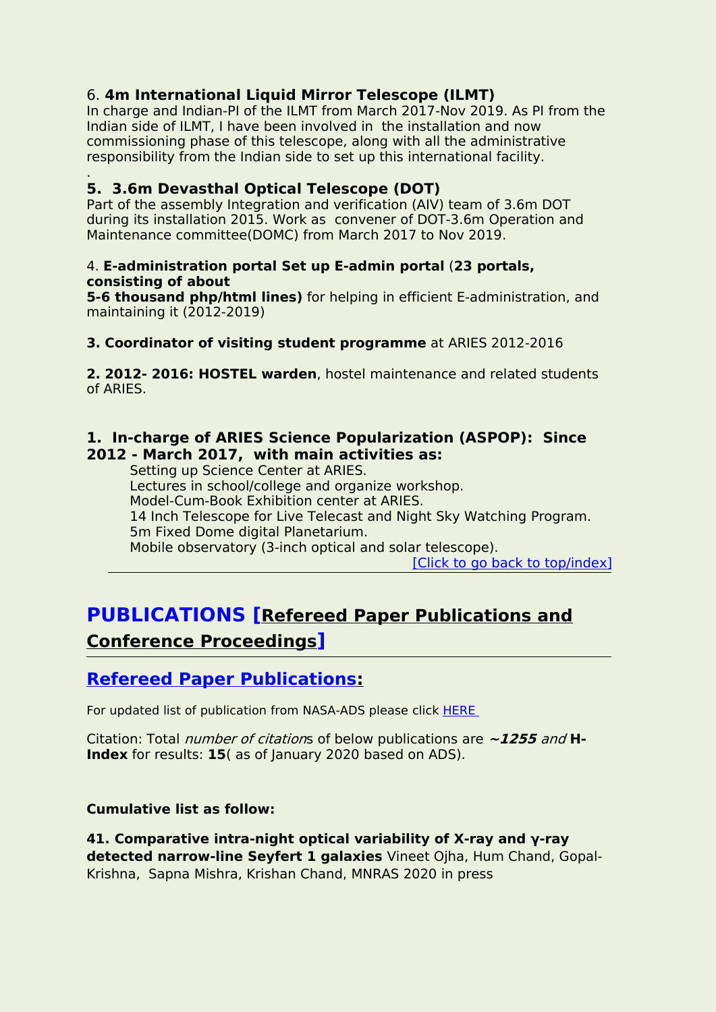# 6. **4m International Liquid Mirror Telescope (ILMT)**

In charge and Indian-PI of the ILMT from March 2017-Nov 2019. As PI from the Indian side of ILMT, I have been involved in the installation and now commissioning phase of this telescope, along with all the administrative responsibility from the Indian side to set up this international facility.

#### .**5. 3.6m Devasthal Optical Telescope (DOT)**

Part of the assembly Integration and verification (AIV) team of 3.6m DOT during its installation 2015. Work as convener of DOT-3.6m Operation and Maintenance committee(DOMC) from March 2017 to Nov 2019.

### 4. **E-administration portal Set up E-admin portal** (**23 portals, consisting of about**

**5-6 thousand php/html lines)** for helping in efficient E-administration, and maintaining it (2012-2019)

## **3. Coordinator of visiting student programme** at ARIES 2012-2016

**2. 2012- 2016: HOSTEL warden**, hostel maintenance and related students of ARIES.

# **1. In-charge of ARIES Science Popularization (ASPOP): Since 2012 - March 2017, with main activities as:**

Setting up Science Center at ARIES. Lectures in school/college and organize workshop. Model-Cum-Book Exhibition center at ARIES. 14 Inch Telescope for Live Telecast and Night Sky Watching Program. 5m Fixed Dome digital Planetarium. Mobile observatory (3-inch optical and solar telescope).

[Click to go back to [top/index\]](#page-0-0)

# **PUBLICATIONS [Refereed Paper Publications and Conference Proceedings]**

# <span id="page-4-0"></span>**Refereed Paper Publications:**

For updated list of publication from NASA-ADS please click [HERE](https://ui.adsabs.harvard.edu/search/filter_database_fq_database=OR&filter_database_fq_database=database%3A%22astronomy%22&fq=%7B!type%3Daqp%20v%3D%24fq_database%7D&fq_database=(database%3A%22astronomy%22)&q=author%3A(%22Chand%2C%20H%22)&sort=date%20desc%2C%20bibcode%20desc&p_=0)

Citation: Total number of citations of below publications are **~1255** and **H-Index** for results: **15**( as of January 2020 based on ADS).

## **Cumulative list as follow:**

**41. Comparative intra-night optical variability of X-ray and γ-ray detected narrow-line Seyfert 1 galaxies** Vineet Ojha, Hum Chand, Gopal- Krishna, Sapna Mishra, Krishan Chand, MNRAS 2020 in press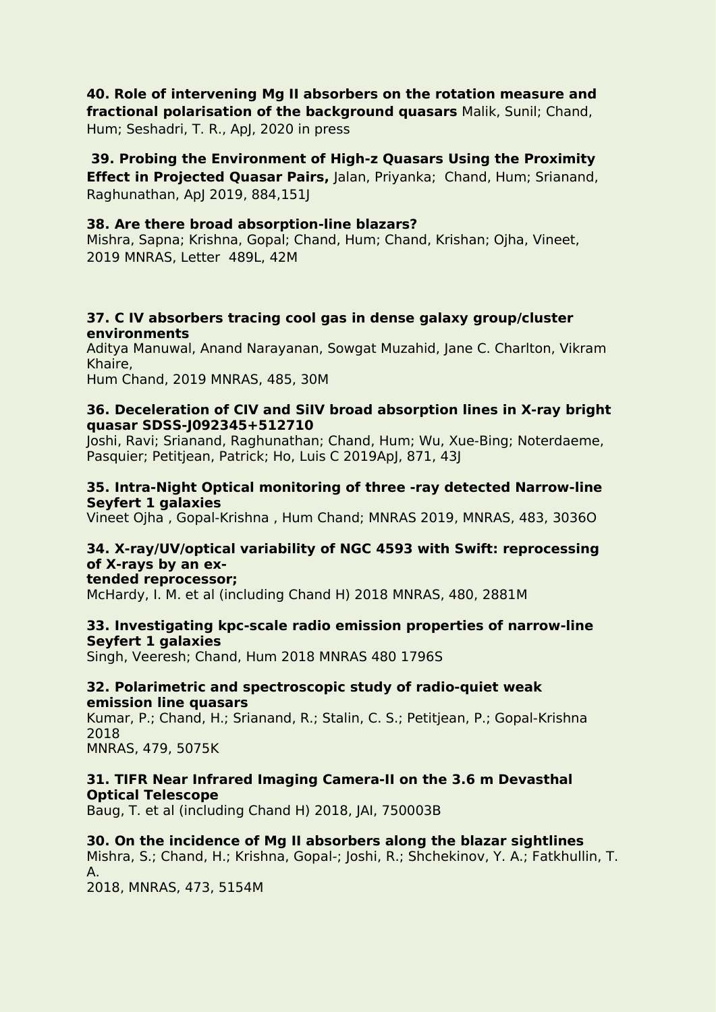#### **40. Role of intervening Mg II absorbers on the rotation measure and fractional polarisation of the background quasars** Malik, Sunil; Chand,

Hum; Seshadri, T. R., ApJ, 2020 in press

**39. Probing the Environment of High-z Quasars Using the Proximity Effect in Projected Quasar Pairs,** Jalan, Priyanka; Chand, Hum; Srianand, Raghunathan, ApJ 2019, 884,151J

## **38. Are there broad absorption-line blazars?**

Mishra, Sapna; Krishna, Gopal; Chand, Hum; Chand, Krishan; Ojha, Vineet, 2019 MNRAS, Letter 489L, 42M

#### **37. C IV absorbers tracing cool gas in dense galaxy group/cluster environments**

Aditya Manuwal, Anand Narayanan, Sowgat Muzahid, Jane C. Charlton, Vikram Khaire,

Hum Chand, 2019 MNRAS, 485, 30M

#### **36. Deceleration of CIV and SiIV broad absorption lines in X-ray bright quasar SDSS-J092345+512710**

Joshi, Ravi; Srianand, Raghunathan; Chand, Hum; Wu, Xue-Bing; Noterdaeme, Pasquier; Petitjean, Patrick; Ho, Luis C 2019ApJ, 871, 43J

#### **35. Intra-Night Optical monitoring of three -ray detected Narrow-line Seyfert 1 galaxies**

Vineet Ojha , Gopal-Krishna , Hum Chand; MNRAS 2019, MNRAS, 483, 3036O

# **34. X-ray/UV/optical variability of NGC 4593 with Swift: reprocessing of X-rays by an ex-**

#### **tended reprocessor;**

McHardy, I. M. et al (including Chand H) 2018 MNRAS, 480, 2881M

## **33. Investigating kpc-scale radio emission properties of narrow-line Seyfert 1 galaxies**

Singh, Veeresh; Chand, Hum 2018 MNRAS 480 1796S

#### **32. Polarimetric and spectroscopic study of radio-quiet weak emission line quasars**

Kumar, P.; Chand, H.; Srianand, R.; Stalin, C. S.; Petitjean, P.; Gopal-Krishna 2018

MNRAS, 479, 5075K

## **31. TIFR Near Infrared Imaging Camera-II on the 3.6 m Devasthal Optical Telescope**

Baug, T. et al (including Chand H) 2018, JAI, 750003B

## **30. On the incidence of Mg II absorbers along the blazar sightlines**

Mishra, S.; Chand, H.; Krishna, Gopal-; Joshi, R.; Shchekinov, Y. A.; Fatkhullin, T. A.

2018, MNRAS, 473, 5154M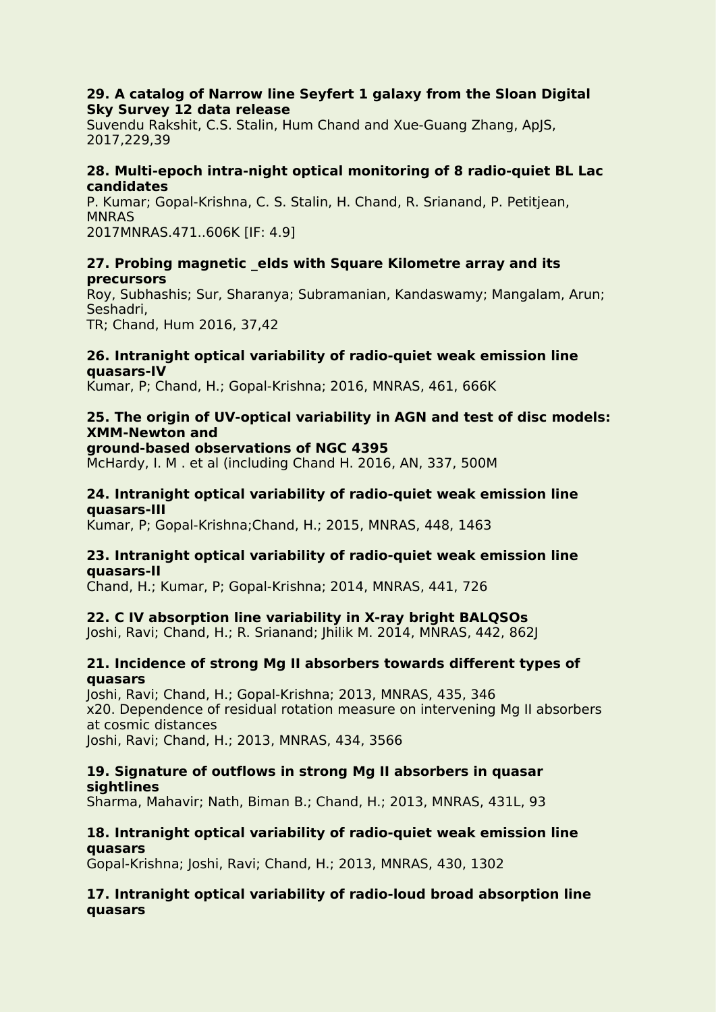#### **29. A catalog of Narrow line Seyfert 1 galaxy from the Sloan Digital Sky Survey 12 data release**

Suvendu Rakshit, C.S. Stalin, Hum Chand and Xue-Guang Zhang, ApJS, 2017,229,39

#### **28. Multi-epoch intra-night optical monitoring of 8 radio-quiet BL Lac candidates**

P. Kumar; Gopal-Krishna, C. S. Stalin, H. Chand, R. Srianand, P. Petitjean, **MNRAS** 2017MNRAS.471..606K [IF: 4.9]

#### **27. Probing magnetic \_elds with Square Kilometre array and its precursors**

Roy, Subhashis; Sur, Sharanya; Subramanian, Kandaswamy; Mangalam, Arun; Seshadri, TR; Chand, Hum 2016, 37,42

#### **26. Intranight optical variability of radio-quiet weak emission line quasars-IV**

Kumar, P; Chand, H.; Gopal-Krishna; 2016, MNRAS, 461, 666K

#### **25. The origin of UV-optical variability in AGN and test of disc models: XMM-Newton and**

**ground-based observations of NGC 4395**

McHardy, I. M . et al (including Chand H. 2016, AN, 337, 500M

#### **24. Intranight optical variability of radio-quiet weak emission line quasars-III**

Kumar, P; Gopal-Krishna;Chand, H.; 2015, MNRAS, 448, 1463

#### **23. Intranight optical variability of radio-quiet weak emission line quasars-II**

Chand, H.; Kumar, P; Gopal-Krishna; 2014, MNRAS, 441, 726

## **22. C IV absorption line variability in X-ray bright BALQSOs**

Joshi, Ravi; Chand, H.; R. Srianand; Jhilik M. 2014, MNRAS, 442, 862J

#### **21. Incidence of strong Mg II absorbers towards different types of quasars**

Joshi, Ravi; Chand, H.; Gopal-Krishna; 2013, MNRAS, 435, 346 x20. Dependence of residual rotation measure on intervening Mg II absorbers at cosmic distances Joshi, Ravi; Chand, H.; 2013, MNRAS, 434, 3566

#### **19. Signature of outflows in strong Mg II absorbers in quasar sightlines**

Sharma, Mahavir; Nath, Biman B.; Chand, H.; 2013, MNRAS, 431L, 93

## **18. Intranight optical variability of radio-quiet weak emission line quasars**

Gopal-Krishna; Joshi, Ravi; Chand, H.; 2013, MNRAS, 430, 1302

#### **17. Intranight optical variability of radio-loud broad absorption line quasars**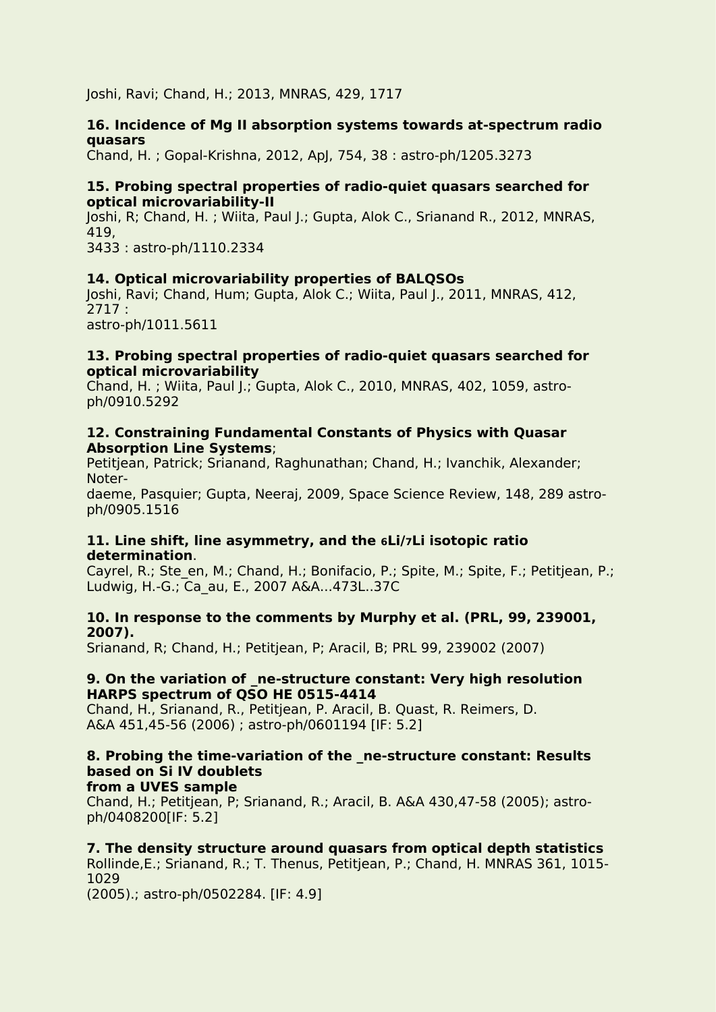Joshi, Ravi; Chand, H.; 2013, MNRAS, 429, 1717

#### **16. Incidence of Mg II absorption systems towards at-spectrum radio quasars**

Chand, H. ; Gopal-Krishna, 2012, ApJ, 754, 38 : astro-ph/1205.3273

#### **15. Probing spectral properties of radio-quiet quasars searched for optical microvariability-II**

Joshi, R; Chand, H. ; Wiita, Paul J.; Gupta, Alok C., Srianand R., 2012, MNRAS, 419, 3433 : astro-ph/1110.2334

#### **14. Optical microvariability properties of BALQSOs**

Joshi, Ravi; Chand, Hum; Gupta, Alok C.; Wiita, Paul J., 2011, MNRAS, 412, 2717 : astro-ph/1011.5611

#### **13. Probing spectral properties of radio-quiet quasars searched for optical microvariability**

Chand, H. ; Wiita, Paul J.; Gupta, Alok C., 2010, MNRAS, 402, 1059, astro ph/0910.5292

#### **12. Constraining Fundamental Constants of Physics with Quasar Absorption Line Systems**;

Petitjean, Patrick; Srianand, Raghunathan; Chand, H.; Ivanchik, Alexander; Noter-

daeme, Pasquier; Gupta, Neeraj, 2009, Space Science Review, 148, 289 astro ph/0905.1516

#### **11. Line shift, line asymmetry, and the 6Li/7Li isotopic ratio determination**.

Cayrel, R.; Ste\_en, M.; Chand, H.; Bonifacio, P.; Spite, M.; Spite, F.; Petitjean, P.; Ludwig, H.-G.; Ca\_au, E., 2007 A&A...473L..37C

#### **10. In response to the comments by Murphy et al. (PRL, 99, 239001, 2007).**

Srianand, R; Chand, H.; Petitjean, P; Aracil, B; PRL 99, 239002 (2007)

#### **9. On the variation of \_ne-structure constant: Very high resolution HARPS spectrum of QSO HE 0515-4414**

Chand, H., Srianand, R., Petitjean, P. Aracil, B. Quast, R. Reimers, D. A&A 451,45-56 (2006) ; astro-ph/0601194 [IF: 5.2]

# **8. Probing the time-variation of the \_ne-structure constant: Results based on Si IV doublets**

**from a UVES sample** Chand, H.; Petitjean, P; Srianand, R.; Aracil, B. A&A 430,47-58 (2005); astro ph/0408200[IF: 5.2]

## **7. The density structure around quasars from optical depth statistics**

Rollinde,E.; Srianand, R.; T. Thenus, Petitjean, P.; Chand, H. MNRAS 361, 1015- 1029

(2005).; astro-ph/0502284. [IF: 4.9]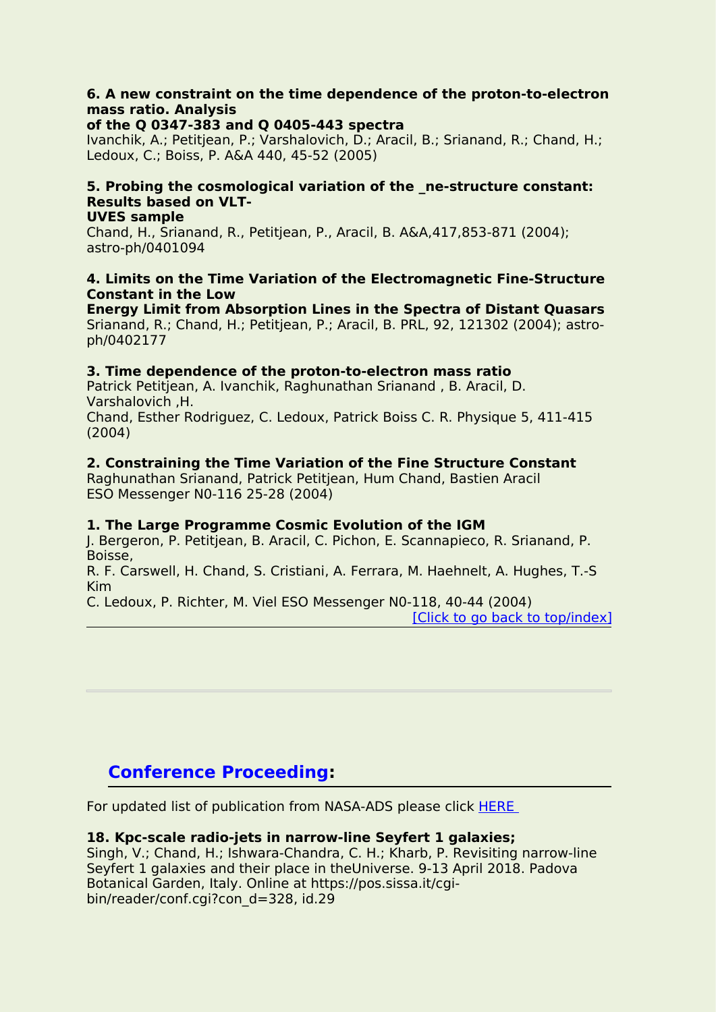## **6. A new constraint on the time dependence of the proton-to-electron mass ratio. Analysis**

#### **of the Q 0347-383 and Q 0405-443 spectra**

Ivanchik, A.; Petitjean, P.; Varshalovich, D.; Aracil, B.; Srianand, R.; Chand, H.; Ledoux, C.; Boiss, P. A&A 440, 45-52 (2005)

# **5. Probing the cosmological variation of the \_ne-structure constant: Results based on VLT-**

#### **UVES sample**

Chand, H., Srianand, R., Petitjean, P., Aracil, B. A&A,417,853-871 (2004); astro-ph/0401094

#### **4. Limits on the Time Variation of the Electromagnetic Fine-Structure Constant in the Low**

**Energy Limit from Absorption Lines in the Spectra of Distant Quasars** Srianand, R.; Chand, H.; Petitjean, P.; Aracil, B. PRL, 92, 121302 (2004); astro ph/0402177

#### **3. Time dependence of the proton-to-electron mass ratio**

Patrick Petitjean, A. Ivanchik, Raghunathan Srianand , B. Aracil, D. Varshalovich ,H. Chand, Esther Rodriguez, C. Ledoux, Patrick Boiss C. R. Physique 5, 411-415 (2004)

#### **2. Constraining the Time Variation of the Fine Structure Constant**

Raghunathan Srianand, Patrick Petitjean, Hum Chand, Bastien Aracil ESO Messenger N0-116 25-28 (2004)

#### **1. The Large Programme Cosmic Evolution of the IGM**

J. Bergeron, P. Petitjean, B. Aracil, C. Pichon, E. Scannapieco, R. Srianand, P. Boisse,

R. F. Carswell, H. Chand, S. Cristiani, A. Ferrara, M. Haehnelt, A. Hughes, T.-S Kim and the contract of the contract of the contract of the contract of the contract of the contract of the co

C. Ledoux, P. Richter, M. Viel ESO Messenger N0-118, 40-44 (2004)

[Click to go back to [top/index\]](#page-0-0)

# <span id="page-8-0"></span>**Conference Proceeding:**

For updated list of publication from NASA-ADS please click [HERE](https://ui.adsabs.harvard.edu/search/filter_database_fq_database=OR&filter_database_fq_database=database%3A%22astronomy%22&fq=%7B!type%3Daqp%20v%3D%24fq_database%7D&fq_database=(database%3A%22astronomy%22)&q=author%3A(%22Chand%2C%20H%22)&sort=date%20desc%2C%20bibcode%20desc&p_=0)

#### **18. Kpc-scale radio-jets in narrow-line Seyfert 1 galaxies;**

Singh, V.; Chand, H.; Ishwara-Chandra, C. H.; Kharb, P. Revisiting narrow-line Seyfert 1 galaxies and their place in theUniverse. 9-13 April 2018. Padova Botanical Garden, Italy. Online at https://pos.sissa.it/cgi bin/reader/conf.cgi?con\_d=328, id.29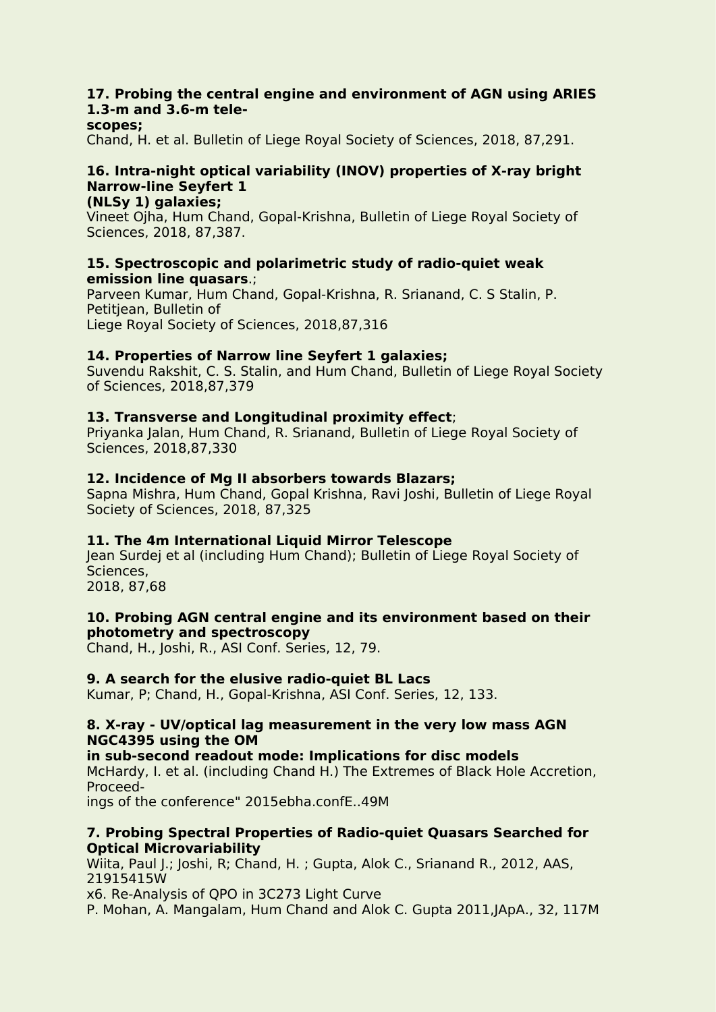## **17. Probing the central engine and environment of AGN using ARIES 1.3-m and 3.6-m tele-**

#### **scopes;**

Chand, H. et al. Bulletin of Liege Royal Society of Sciences, 2018, 87,291.

#### **16. Intra-night optical variability (INOV) properties of X-ray bright Narrow-line Seyfert 1 (NLSy 1) galaxies;**

Vineet Ojha, Hum Chand, Gopal-Krishna, Bulletin of Liege Royal Society of Sciences, 2018, 87,387.

#### **15. Spectroscopic and polarimetric study of radio-quiet weak emission line quasars**.;

Parveen Kumar, Hum Chand, Gopal-Krishna, R. Srianand, C. S Stalin, P. Petitjean, Bulletin of Liege Royal Society of Sciences, 2018,87,316

#### **14. Properties of Narrow line Seyfert 1 galaxies;**

Suvendu Rakshit, C. S. Stalin, and Hum Chand, Bulletin of Liege Royal Society of Sciences, 2018,87,379

#### **13. Transverse and Longitudinal proximity effect**;

Priyanka Jalan, Hum Chand, R. Srianand, Bulletin of Liege Royal Society of Sciences, 2018,87,330

#### **12. Incidence of Mg II absorbers towards Blazars;**

Sapna Mishra, Hum Chand, Gopal Krishna, Ravi Joshi, Bulletin of Liege Royal Society of Sciences, 2018, 87,325

#### **11. The 4m International Liquid Mirror Telescope**

Jean Surdej et al (including Hum Chand); Bulletin of Liege Royal Society of Sciences,

2018, 87,68

#### **10. Probing AGN centralengine and its environment based on their photometry and spectroscopy**

Chand, H., Joshi, R., ASI Conf. Series, 12, 79.

#### **9. A search for the elusive radio-quiet BL Lacs**

Kumar, P; Chand, H., Gopal-Krishna, ASI Conf. Series, 12, 133.

#### **8. X-ray - UV/optical lag measurement in the very low mass AGN NGC4395 using the OM**

#### **in** sub-second readout mode: Implications for disc models McHardy, I. et al. (including Chand H.) The Extremes of Black Hole Accretion, Proceed-

ings of the conference" 2015ebha.confE..49M

#### **7. Probing Spectral Properties of Radio-quiet Quasars Searched for Optical Microvariability**

Wiita, Paul J.; Joshi, R; Chand, H.; Gupta, Alok C., Srianand R., 2012, AAS, 21915415W

x6. Re-Analysis of QPO in 3C273 Light Curve

P. Mohan, A. Mangalam, Hum Chand and Alok C. Gupta 2011, JApA., 32, 117M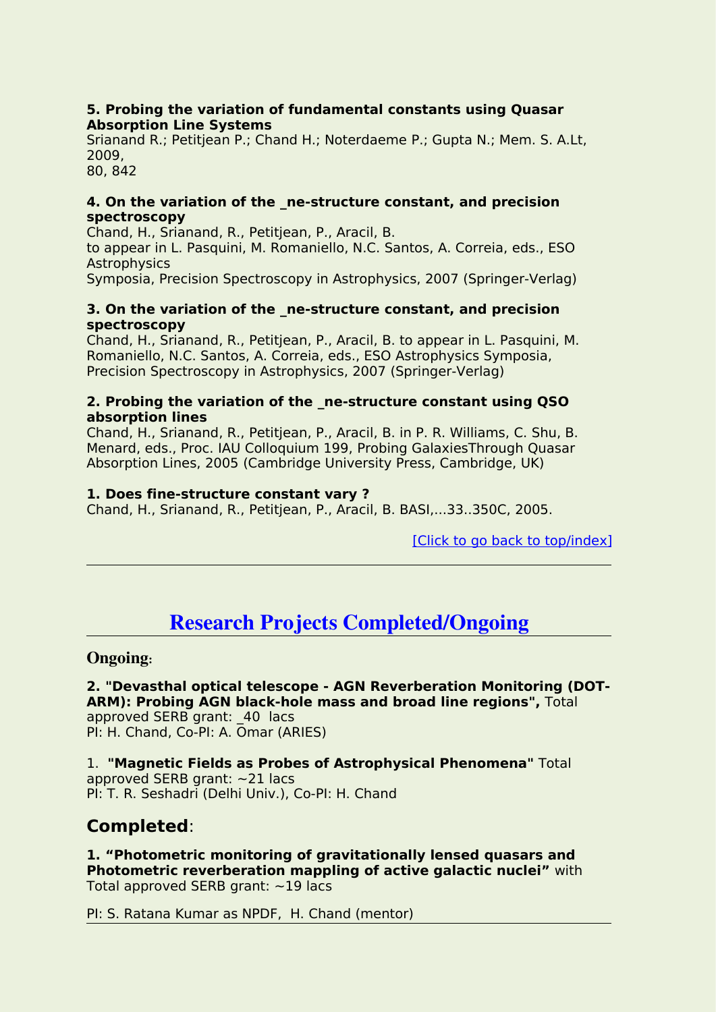#### **5. Probing the variation of fundamental constants using Quasar Absorption Line Systems**

Srianand R.; Petitjean P.; Chand H.; Noterdaeme P.; Gupta N.; Mem. S. A.Lt, 2009,

80, 842

#### **4. On the variation of the \_ne-structure constant,and precision spectroscopy**

Chand, H., Srianand, R., Petitjean, P., Aracil, B.

to appear in L. Pasquini, M. Romaniello, N.C. Santos, A. Correia, eds., ESO **Astrophysics** 

Symposia, Precision Spectroscopy in Astrophysics, 2007 (Springer-Verlag)

#### **3. On the variation of the \_ne-structure constant,and precision spectroscopy**

Chand, H., Srianand, R., Petitiean, P., Aracil, B. to appear in L. Pasquini, M. Romaniello, N.C. Santos, A. Correia, eds., ESO Astrophysics Symposia, Precision Spectroscopy in Astrophysics, 2007 (Springer-Verlag)

#### **2. Probing the variation of the \_ne-structure constant using QSO absorption lines**

Chand, H., Srianand, R., Petitjean, P., Aracil, B. in P. R. Williams, C. Shu, B. Menard, eds., Proc. IAU Colloquium 199, Probing GalaxiesThrough Quasar Absorption Lines, 2005 (Cambridge University Press, Cambridge, UK)

## **1. Does fine-structure constant vary ?**

Chand, H., Srianand, R., Petitjean, P., Aracil, B. BASI,...33..350C, 2005.

[Click to go back to [top/index\]](#page-0-0)

# <span id="page-10-0"></span>**Research Projects Completed/Ongoing**

## **Ongoing:**

**2. "Devasthal optical telescope - AGN Reverberation Monitoring (DOT- ARM): Probing AGN black-hole mass and broad line regions",** Total approved SERB grant: 40 lacs PI: H. Chand, Co-PI: A. Omar (ARIES)

1. **"Magnetic Fields as Probes of Astrophysical Phenomena"** Total approved SERB grant: ~21 lacs PI: T. R. Seshadri (Delhi Univ.), Co-PI: H. Chand

# **Completed**:

**1. "Photometric monitoring of gravitationally lensed quasars and Photometric reverberation mappling of active galactic nuclei"** with Total approved SERB grant:  $\sim$ 19 lacs

PI: S. Ratana Kumar as NPDF, H. Chand (mentor)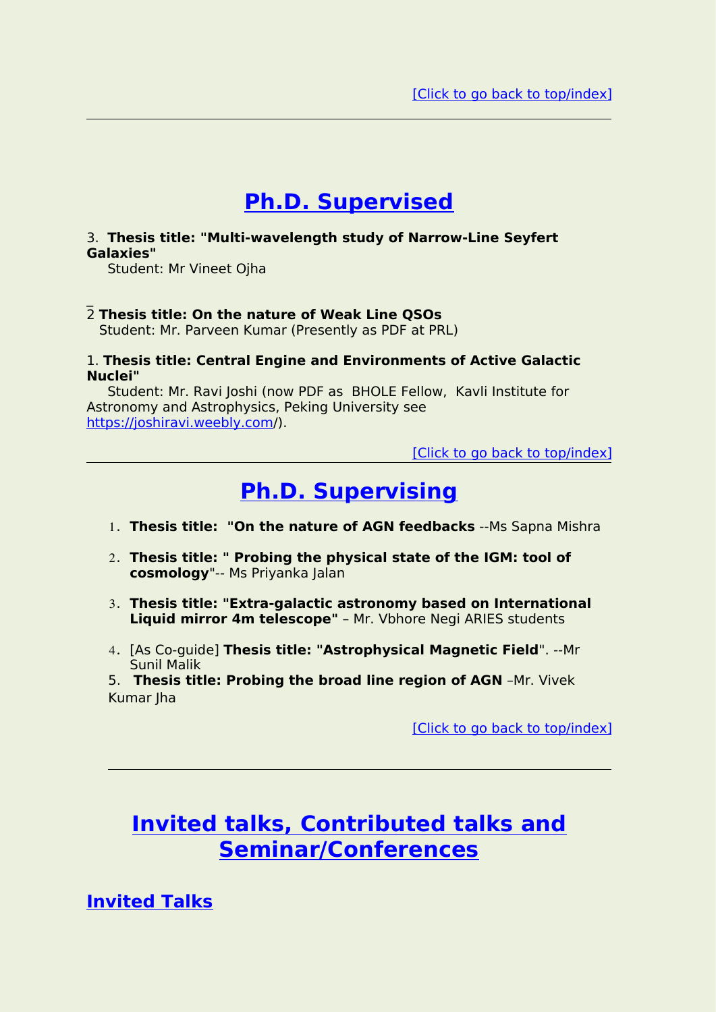# <span id="page-11-0"></span>**Ph.D. Supervised**

#### 3. **Thesis title: "Multi-wavelength study of Narrow-Line Seyfert Galaxies"**

Student: Mr Vineet Ojha

#### \_2 **Thesis title: On the nature of Weak Line QSOs**

Student: Mr. Parveen Kumar (Presently as PDF at PRL)

#### 1. **Thesis title: Central Engine and Environments of Active Galactic Nuclei"**

Student: Mr. Ravi Joshi (now PDF as BHOLE Fellow, Kavli Institute for Astronomy and Astrophysics, Peking University see [https://joshiravi.weebly.com](https://joshiravi.weebly.com/)/).

[Click to go back to [top/index\]](#page-0-0)

# <span id="page-11-1"></span>**Ph.D. Supervising**

- 1. **Thesis title: "On the nature of AGN feedbacks** --Ms Sapna Mishra
- 2. **Thesis title: " Probing the physical state of the IGM: tool of cosmology**"-- Ms Priyanka Jalan
- 3. **Thesis title: "Extra-galactic astronomy based on International Liquid mirror 4m telescope"** – Mr. Vbhore Negi ARIES students
- 4. [As Co-guide] **Thesis title: "Astrophysical Magnetic Field**". --Mr Sunil Malik

5. **Thesis title: Probing the broad line region of AGN** –Mr. Vivek Kumar Iha

[Click to go back to [top/index\]](#page-0-0)

# **Invited talks, Contributed talks and Seminar/Conferences**

<span id="page-11-2"></span>**Invited Talks**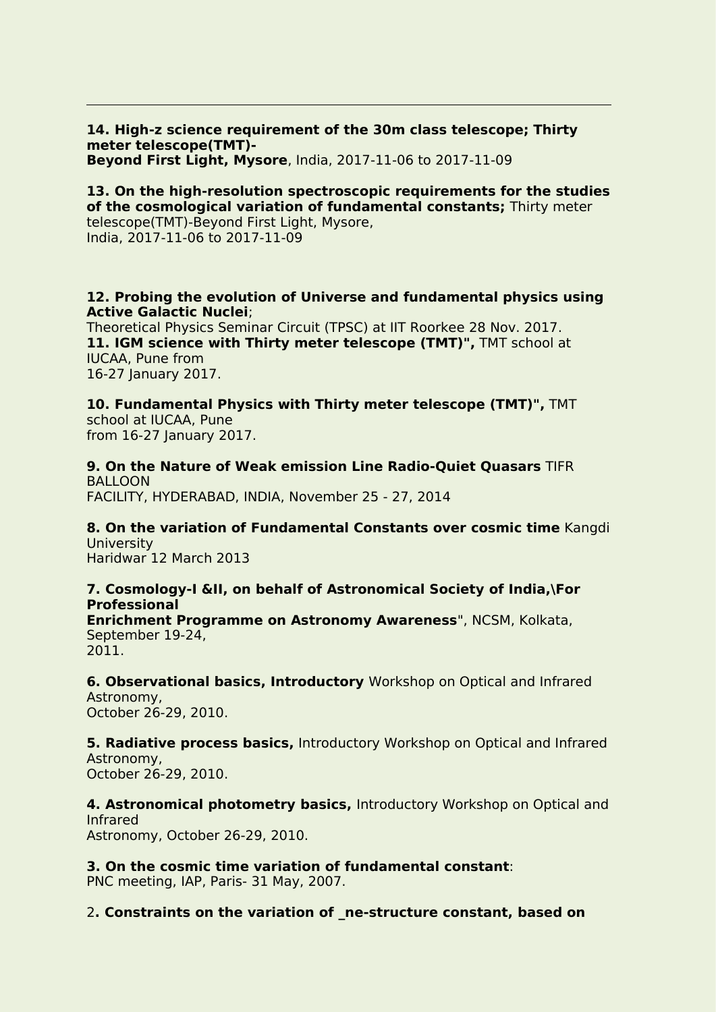**14. High-z science requirement of the 30m class telescope; Thirty meter telescope(TMT)- Beyond First Light, Mysore**, India, 2017-11-06 to 2017-11-09

#### **13. On the high-resolution spectroscopic requirements forthe studies of the cosmological variation of fundamental constants;** Thirty meter

telescope(TMT)-Beyond First Light, Mysore, India, 2017-11-06 to 2017-11-09

#### **12. Probing the evolution of Universe and fundamental physics using Active Galactic Nuclei**;

Theoretical Physics Seminar Circuit (TPSC) at IIT Roorkee 28 Nov. 2017. **11. IGM science with Thirty meter telescope (TMT)",** TMT school at IUCAA, Pune from 16-27 January 2017.

**10. Fundamental Physics with Thirty meter telescope (TMT)",** TMT school at IUCAA, Pune from 16-27 Ianuary 2017.

**9. On the Nature of Weak emission Line Radio-Quiet Quasars** TIFR BALLOON FACILITY, HYDERABAD, INDIA, November 25 - 27, 2014

**8. On the variation of Fundamental Constants over cosmic time** Kangdi **University** Haridwar 12 March 2013

# **7. Cosmology-I &II, on behalf of Astronomical Society of India,\For Professional**

**Enrichment Programme on Astronomy Awareness**", NCSM, Kolkata, September 19-24, 2011.

**6. Observational basics, Introductory** Workshop on Optical and Infrared Astronomy, October 26-29, 2010.

**5. Radiative process basics,** Introductory Workshop on Optical and Infrared Astronomy, October 26-29, 2010.

**4. Astronomical photometry basics,** Introductory Workshop on Optical and Infrared Astronomy, October 26-29, 2010.

**3. On the cosmic time variation of fundamental constant**: PNC meeting, IAP, Paris- 31 May, 2007.

2**. Constraints on the variation of \_ne-structure constant, based on**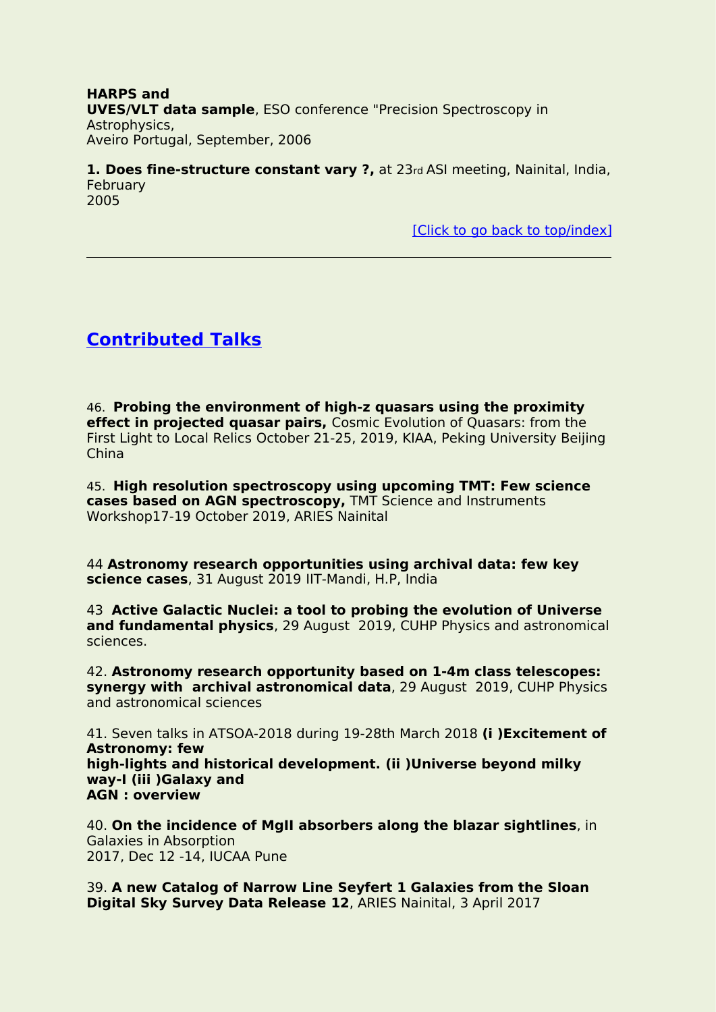**HARPS and UVES/VLT data sample**, ESO conference "Precision Spectroscopy in Astrophysics, Aveiro Portugal, September, 2006

**1. Does fine-structure constant vary ?,** at 23rd ASImeeting, Nainital, India, February 2005

[Click to go back to [top/index\]](#page-0-0)

# <span id="page-13-0"></span>**Contributed Talks**

46. **Probing the environment of high-z quasars using the proximity effect in projected quasar pairs,** Cosmic Evolution of Quasars: from the First Light to Local Relics October 21-25, 2019, KIAA, Peking University Beijing China

45. **High resolution spectroscopy using upcoming TMT: Few science cases based on AGN spectroscopy,** TMT Science and Instruments Workshop17-19 October 2019, ARIES Nainital

44 **Astronomy research opportunities using archival data: few key science cases**, 31 August 2019 IIT-Mandi, H.P, India

43 **Active Galactic Nuclei: a tool to probing the evolution of Universe and fundamental physics**, 29 August 2019, CUHP Physics and astronomical sciences.

42. **Astronomy research opportunity based on 1-4m class telescopes: synergy with archival astronomical data**, 29 August 2019, CUHP Physics and astronomical sciences

41. Seven talks in ATSOA-2018 during 19-28th March 2018 **(i )Excitement of Astronomy: few high-lights and historical development. (ii )Universe beyond milky way-I (iii )Galaxy and AGN : overview**

40. **On the incidence of MgII absorbers along the blazar sightlines**, in Galaxies in Absorption 2017, Dec 12 -14, IUCAA Pune

39. **A new Catalog of Narrow Line Seyfert 1 Galaxies from the Sloan Digital Sky Survey Data Release 12**,ARIES Nainital, 3 April 2017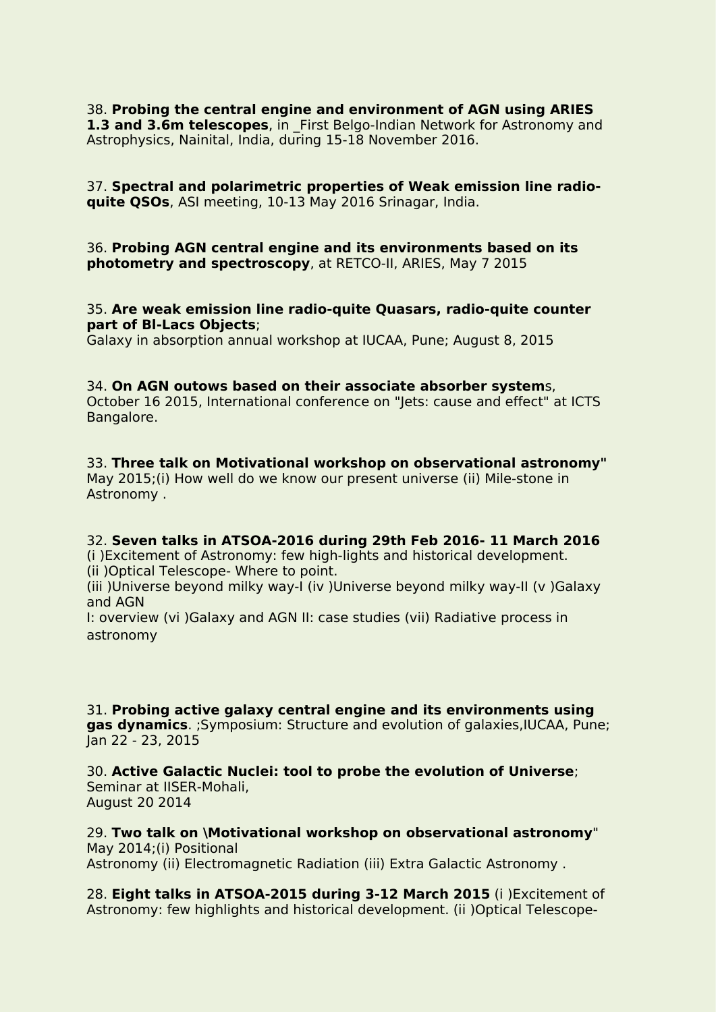38. **Probing the central engine and environment of AGN using ARIES 1.3 and 3.6m telescopes**, in First Belgo-Indian Network for Astronomy and Astrophysics, Nainital, India, during 15-18 November 2016.

37. **Spectral and polarimetric properties of Weak emission line radio quite QSOs**, ASI meeting, 10-13 May 2016 Srinagar, India.

36. **Probing AGN centralengine and its environments based on its photometry and spectroscopy**, at RETCO-II, ARIES, May 7 2015

#### 35. **Are weak emission line radio-quite Quasars, radio-quite counter part of Bl-Lacs Objects**;

Galaxy in absorption annual workshop at IUCAA, Pune; August 8, 2015

#### 34. **On AGN outows based on their associate absorber system**s,

October 16 2015, International conference on "Jets: cause and effect" at ICTS Bangalore.

#### 33. **Three talk on Motivational workshop on observational astronomy"**

May 2015;(i) How well do we know our present universe (ii) Mile-stone in Astronomy .

#### 32. **Seven talks in ATSOA-2016 during 29th Feb 2016- 11 March 2016**

(i )Excitement of Astronomy: few high-lights and historical development. (ii )Optical Telescope- Where to point.

(iii )Universe beyond milky way-I (iv )Universe beyond milky way-II (v )Galaxy and AGN

I: overview (vi )Galaxy and AGN II: case studies (vii) Radiative process in astronomy

31. **Probing active galaxy central engine and its environments using gas dynamics**. ;Symposium: Structure and evolution of galaxies,IUCAA, Pune; Jan 22 - 23, 2015

30. **Active Galactic Nuclei: tool to probe the evolution of Universe**; Seminar at IISER-Mohali, August 20 2014

29. **Two talk on \Motivational workshop on observational astronomy**" May 2014;(i) Positional Astronomy (ii) Electromagnetic Radiation (iii) Extra Galactic Astronomy .

28. **Eight talks in ATSOA-2015 during 3-12 March 2015** (i)Excitement of Astronomy: few highlights and historical development. (ii )Optical Telescope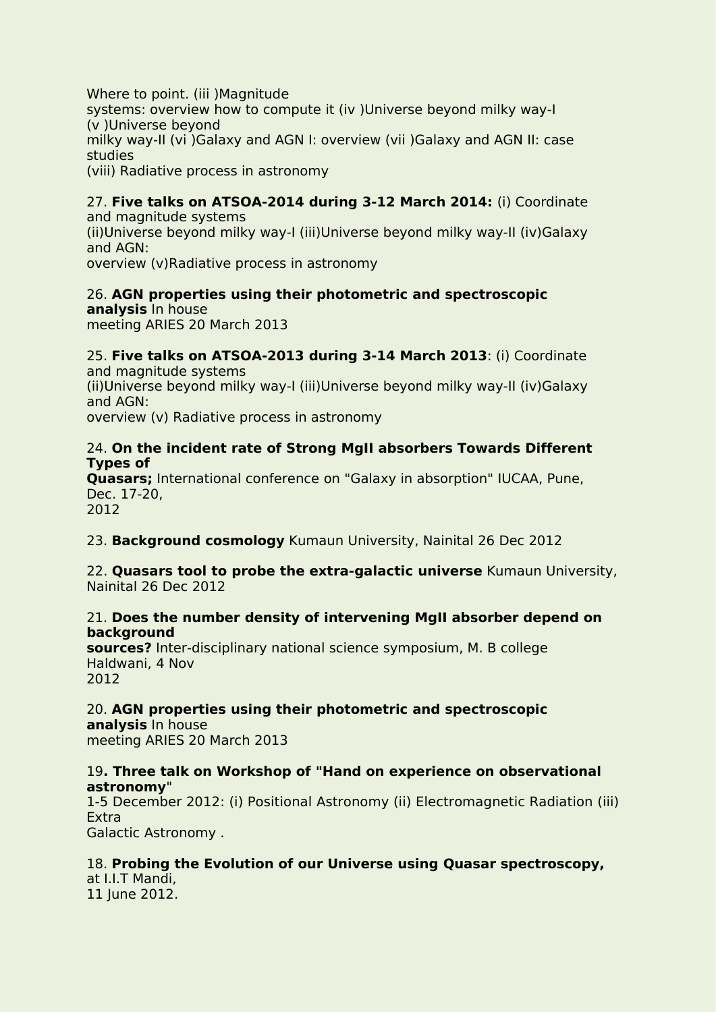Where to point. (iii )Magnitude systems: overview how to compute it (iv )Universe beyond milky way-I (v )Universe beyond milky way-II (vi )Galaxy and AGN I: overview (vii )Galaxy and AGN II: case studies (viii) Radiative process in astronomy

# 27. **Five talks on ATSOA-2014 during 3-12 March 2014:** (i) Coordinate

and magnitude systems (ii)Universe beyond milky way-I (iii)Universe beyond milky way-II (iv)Galaxy and AGN: overview (v)Radiative process in astronomy

# 26. **AGN properties using their photometric and spectroscopic**

**analysis** In house meeting ARIES 20 March 2013

#### 25. **Five talks on ATSOA-2013 during 3-14 March 2013**: (i) Coordinate and magnitude systems

(ii)Universe beyond milky way-I (iii)Universe beyond milky way-II (iv)Galaxy and AGN:

overview (v) Radiative process in astronomy

## 24. **On the incident rate of Strong MgII absorbers Towards Different Types of**

**Quasars;** International conference on "Galaxy in absorption" IUCAA, Pune, Dec. 17-20, 2012

23. **Background cosmology** Kumaun University, Nainital 26 Dec 2012

22. **Quasars tool to probe the extra-galactic universe** Kumaun University, Nainital 26 Dec 2012

## 21. **Does the number density of intervening MgII absorber depend on background**

**sources?** Inter-disciplinary national science symposium, M. B college Haldwani, 4 Nov 2012

# 20. **AGN properties using their photometric and spectroscopic**

**analysis** In house meeting ARIES 20 March 2013

# 19**. Three talk on Workshop of "Hand on experience on observational astronomy**"

1-5 December 2012: (i) Positional Astronomy (ii) Electromagnetic Radiation (iii) Extra Galactic Astronomy .

# 18. **Probing the Evolution of our Universe using Quasar spectroscopy,**

at I.I.T Mandi, 11 June 2012.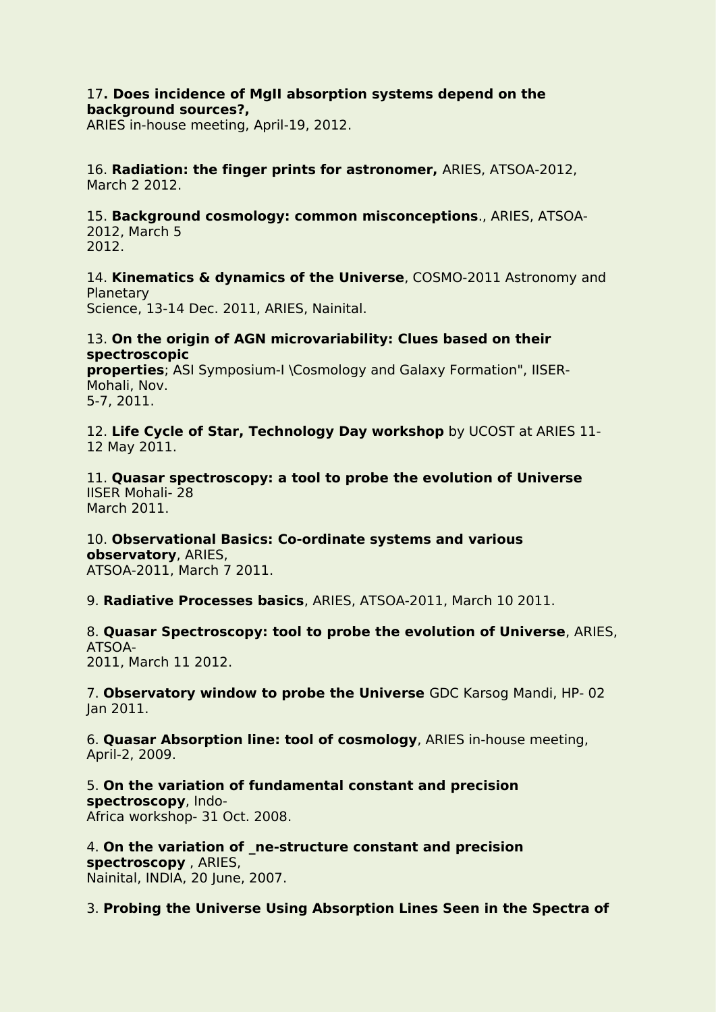#### 17**. Does incidence of MgII absorption systems depend on the background sources?,**

ARIES in-house meeting, April-19, 2012.

16. **Radiation: the finger prints forastronomer,** ARIES, ATSOA-2012, March 2 2012.

15. **Background cosmology: common misconceptions**., ARIES, ATSOA- 2012, March 5 2012.

14. **Kinematics & dynamics of the Universe**, COSMO-2011 Astronomy and **Planetary** Science, 13-14 Dec. 2011, ARIES, Nainital.

#### 13. **On the origin of AGN microvariability: Clues based on their spectroscopic**

**properties**; ASI Symposium-I \Cosmology and Galaxy Formation", IISER- Mohali, Nov. 5-7, 2011.

12. **Life Cycle of Star, Technology Day workshop** by UCOST at ARIES 11- 12 May 2011.

11. **Quasar spectroscopy: a tool to probe the evolution of Universe** IISER Mohali- 28 March 2011.

10. **Observational Basics: Co-ordinate systems and various observatory**, ARIES, ATSOA-2011, March 7 2011.

9. **Radiative Processes basics**, ARIES, ATSOA-2011, March 10 2011.

8. **Quasar Spectroscopy: tool to probe the evolution of Universe**, ARIES, ATSOA- 2011, March 11 2012.

7. **Observatory window to probe the Universe** GDC Karsog Mandi, HP- 02 Jan 2011.

6. **Quasar Absorption line: tool of cosmology**, ARIES in-house meeting, April-2, 2009.

5. **On the variation of fundamental constant and precision spectroscopy**, Indo- Africa workshop- 31 Oct. 2008.

4. **On the variation of \_ne-structure constant and precision spectroscopy** , ARIES, Nainital, INDIA, 20 June, 2007.

3. **Probing the Universe Using Absorption Lines Seen in the Spectra of**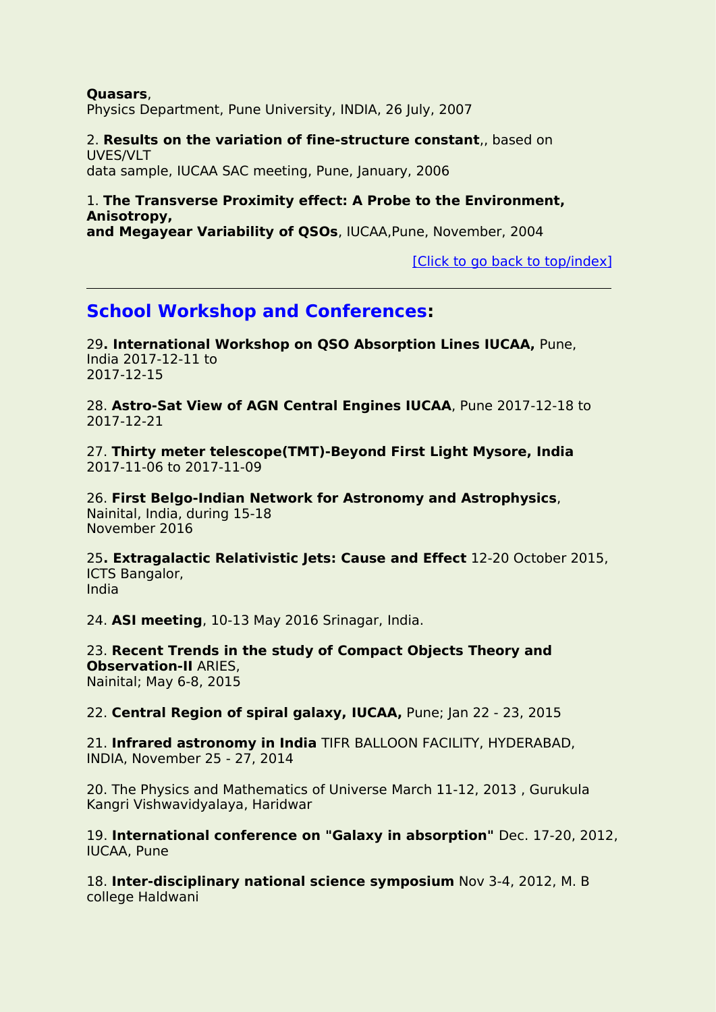**Quasars**, Physics Department, Pune University, INDIA, 26 July, 2007

### 2. **Results on the variation of fine-structure constant**,, based on UVES/VLT

data sample, IUCAA SAC meeting, Pune, January, 2006

## 1. **The Transverse Proximity effect: A Probe to the Environment, Anisotropy,**

**and Megayear Variability of QSOs**, IUCAA,Pune, November, 2004

[Click to go back to [top/index\]](#page-0-0)

# <span id="page-17-0"></span>**School Workshop and Conferences:**

29**. International Workshop on QSO Absorption Lines IUCAA,** Pune, India 2017-12-11 to 2017-12-15

28. **Astro-Sat View of AGN Central Engines IUCAA**, Pune 2017-12-18 to 2017-12-21

27. **Thirty meter telescope(TMT)-Beyond First Light Mysore, India** 2017-11-06 to 2017-11-09

26. **First Belgo-Indian Network for Astronomy and Astrophysics**, Nainital, India, during 15-18 November 2016

25**. Extragalactic Relativistic Jets: Cause and Effect** 12-20 October2015, ICTS Bangalor, India

24. **ASI meeting**, 10-13 May 2016 Srinagar, India.

23. **Recent Trends in the study of Compact Objects Theory and Observation-II** ARIES, Nainital; May 6-8, 2015

22. **Central Region of spiral galaxy, IUCAA,** Pune; Jan 22 - 23, 2015

21. **Infrared astronomy in India** TIFR BALLOON FACILITY, HYDERABAD, INDIA, November 25 - 27, 2014

20. The Physics and Mathematics of Universe March 11-12, 2013 , Gurukula Kangri Vishwavidyalaya, Haridwar

19. **International conference on "Galaxy in absorption"** Dec. 17-20, 2012, IUCAA, Pune

18. **Inter-disciplinary national science symposium** Nov 3-4, 2012, M. B college Haldwani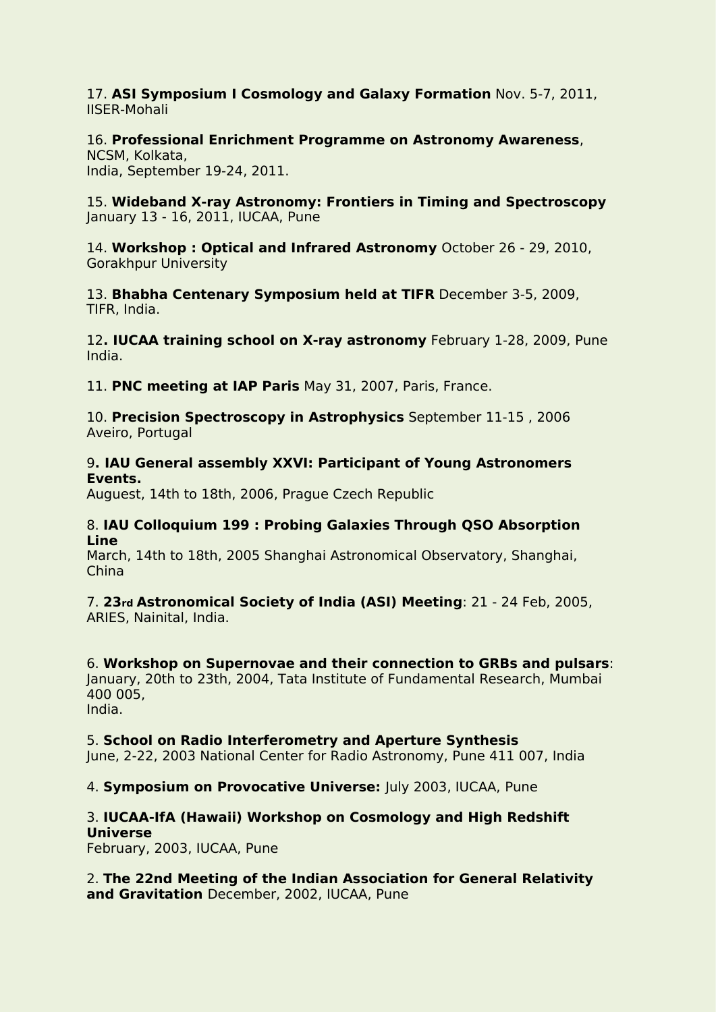17. **ASI Symposium I Cosmology and Galaxy Formation** Nov. 5-7, 2011, IISER-Mohali

# 16. **Professional Enrichment Programme on Astronomy Awareness**, NCSM, Kolkata,

India, September 19-24, 2011.

15. **Wideband X-ray Astronomy: Frontiers in Timing and Spectroscopy** January 13 - 16, 2011, IUCAA, Pune

14. **Workshop : Optical and Infrared Astronomy** October 26 - 29, 2010, Gorakhpur University

13. **Bhabha Centenary Symposium held at TIFR** December 3-5, 2009, TIFR, India.

#### 12**. IUCAA training school on X-ray astronomy** February 1-28, 2009, Pune India.

11. **PNC meeting at IAP Paris** May 31, 2007, Paris, France.

10. **Precision Spectroscopy in Astrophysics** September 11-15 , 2006 Aveiro, Portugal

### 9**. IAU General assembly XXVI: Participant of Young Astronomers Events.**

Auguest, 14th to 18th, 2006, Prague Czech Republic

#### 8. **IAU Colloquium 199 : Probing Galaxies Through QSO Absorption Line**

March, 14th to 18th, 2005 Shanghai Astronomical Observatory, Shanghai, China

7. **23rd Astronomical Society of India (ASI) Meeting**: 21 - 24 Feb, 2005, ARIES, Nainital, India.

6. **Workshop on Supernovae and their connection to GRBs and pulsars**: January, 20th to 23th, 2004, Tata Institute of Fundamental Research, Mumbai 400 005, India.

## 5. **School on Radio Interferometry and Aperture Synthesis**

June, 2-22, 2003 National Center for Radio Astronomy, Pune 411 007, India

4. **Symposium on Provocative Universe:** July 2003, IUCAA, Pune

# 3. **IUCAA-IfA (Hawaii) Workshop on Cosmology and High Redshift Universe**

February, 2003, IUCAA, Pune

2. **The 22nd Meeting of the Indian Association for General Relativity and Gravitation** December, 2002, IUCAA, Pune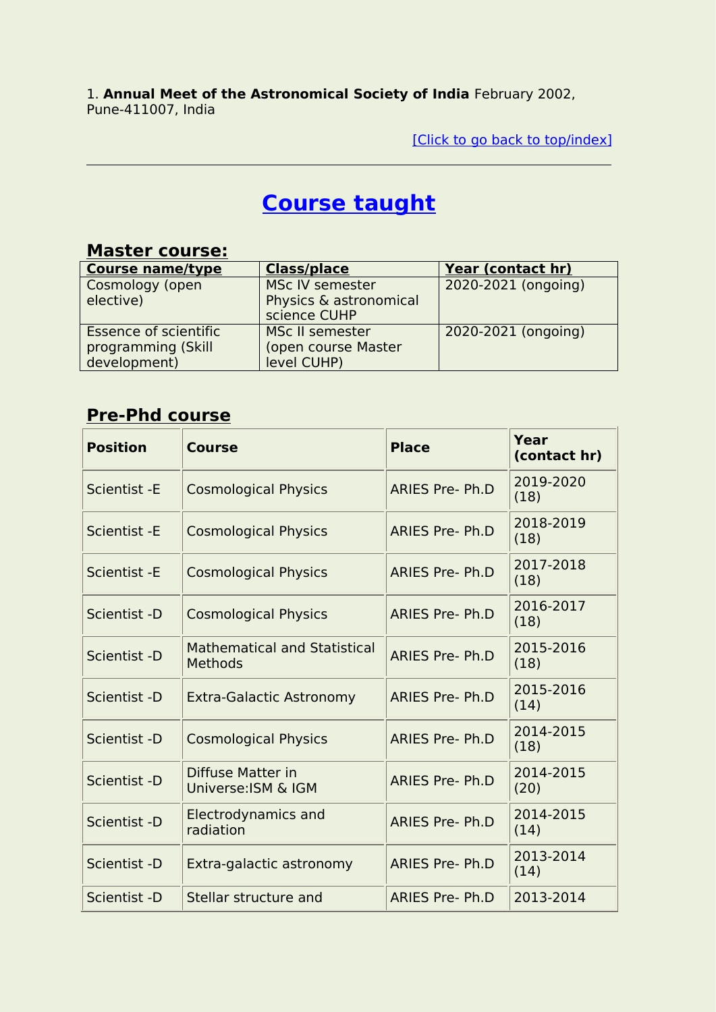1. **Annual Meet of the Astronomical Society of India** February 2002, Pune-411007, India

[Click to go back to [top/index\]](#page-0-0)

# <span id="page-19-0"></span>**Course taught**

# **Master course:**

| <b>Course name/type</b>      | <b>Class/place</b>     | Year (contact hr)   |
|------------------------------|------------------------|---------------------|
| Cosmology (open              | <b>MSc IV semester</b> | 2020-2021 (ongoing) |
| elective)                    | Physics & astronomical |                     |
|                              | science CUHP           |                     |
| <b>Essence of scientific</b> | <b>MSc II semester</b> | 2020-2021 (ongoing) |
| programming (Skill           | (open course Master    |                     |
| development)                 | level CUHP)            |                     |

# **Pre-Phd course**

| <b>Position</b> | <b>Course</b>                                         | <b>Place</b>           | Year<br>(contact hr) |
|-----------------|-------------------------------------------------------|------------------------|----------------------|
| Scientist - E   | <b>Cosmological Physics</b>                           | <b>ARIES Pre-Ph.D</b>  | 2019-2020<br>(18)    |
| Scientist - E   | <b>Cosmological Physics</b>                           | ARIES Pre- Ph.D        | 2018-2019<br>(18)    |
| Scientist - E   | <b>Cosmological Physics</b>                           | <b>ARIES Pre-Ph.D</b>  | 2017-2018<br>(18)    |
| Scientist -D    | <b>Cosmological Physics</b>                           | <b>ARIES Pre-Ph.D</b>  | 2016-2017<br>(18)    |
| Scientist -D    | <b>Mathematical and Statistical</b><br><b>Methods</b> | ARIES Pre- Ph.D        | 2015-2016<br>(18)    |
| Scientist -D    | <b>Extra-Galactic Astronomy</b>                       | <b>ARIES Pre-Ph.D</b>  | 2015-2016<br>(14)    |
| Scientist -D    | <b>Cosmological Physics</b>                           | <b>ARIES Pre-Ph.D</b>  | 2014-2015<br>(18)    |
| Scientist -D    | Diffuse Matter in<br>Universe: ISM & IGM              | <b>ARIES Pre-Ph.D</b>  | 2014-2015<br>(20)    |
| Scientist -D    | <b>Electrodynamics and</b><br>radiation               | <b>ARIES Pre- Ph.D</b> | 2014-2015<br>(14)    |
| Scientist -D    | Extra-galactic astronomy                              | <b>ARIES Pre-Ph.D</b>  | 2013-2014<br>(14)    |
| Scientist -D    | Stellar structure and                                 | <b>ARIES Pre- Ph.D</b> | 2013-2014            |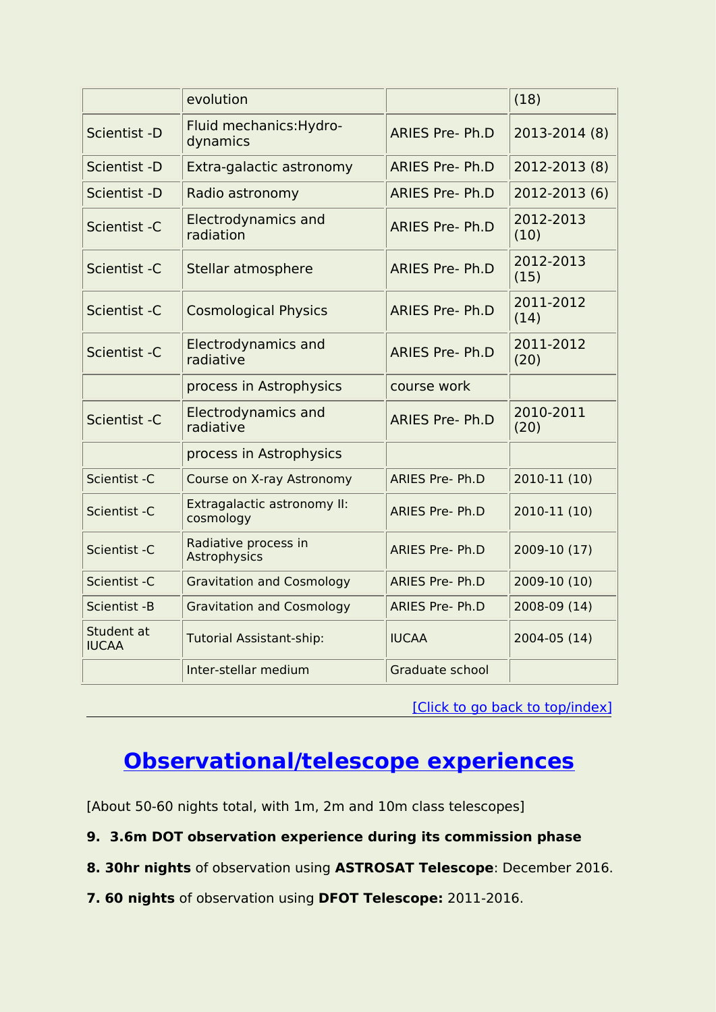|                            | evolution                                |                        | (18)              |
|----------------------------|------------------------------------------|------------------------|-------------------|
| Scientist -D               | Fluid mechanics: Hydro-<br>dynamics      | <b>ARIES Pre- Ph.D</b> | 2013-2014 (8)     |
| Scientist -D               | Extra-galactic astronomy                 | <b>ARIES Pre- Ph.D</b> | 2012-2013 (8)     |
| Scientist -D               | Radio astronomy                          | <b>ARIES Pre- Ph.D</b> | 2012-2013 (6)     |
| Scientist - C              | <b>Electrodynamics and</b><br>radiation  | <b>ARIES Pre- Ph.D</b> | 2012-2013<br>(10) |
| Scientist - C              | Stellar atmosphere                       | <b>ARIES Pre-Ph.D</b>  | 2012-2013<br>(15) |
| Scientist - C              | <b>Cosmological Physics</b>              | <b>ARIES Pre- Ph.D</b> | 2011-2012<br>(14) |
| Scientist - C              | Electrodynamics and<br>radiative         | <b>ARIES Pre- Ph.D</b> | 2011-2012<br>(20) |
|                            | process in Astrophysics                  | course work            |                   |
| Scientist -C               | <b>Electrodynamics and</b><br>radiative  | <b>ARIES Pre- Ph.D</b> | 2010-2011<br>(20) |
|                            | process in Astrophysics                  |                        |                   |
| Scientist - C              | Course on X-ray Astronomy                | <b>ARIES Pre- Ph.D</b> | 2010-11 (10)      |
| Scientist - C              | Extragalactic astronomy II:<br>cosmology | <b>ARIES Pre- Ph.D</b> | 2010-11 (10)      |
| Scientist - C              | Radiative process in<br>Astrophysics     | <b>ARIES Pre- Ph.D</b> | 2009-10 (17)      |
| Scientist - C              | <b>Gravitation and Cosmology</b>         | <b>ARIES Pre- Ph.D</b> | 2009-10 (10)      |
| Scientist - B              | <b>Gravitation and Cosmology</b>         | <b>ARIES Pre- Ph.D</b> | 2008-09 (14)      |
| Student at<br><b>IUCAA</b> | <b>Tutorial Assistant-ship:</b>          | <b>IUCAA</b>           | 2004-05 (14)      |
|                            | Inter-stellar medium                     | Graduate school        |                   |
|                            |                                          |                        |                   |

<sup>[</sup>Click to go back to [top/index\]](#page-0-0)

# <span id="page-20-0"></span>**Observational/telescope experiences**

[About 50-60 nights total, with 1m, 2m and 10m class telescopes]

- **9. 3.6m DOT observation experience during its commission phase**
- **8. 30hr nights** of observation using **ASTROSAT Telescope**: December 2016.
- **7. 60 nights** of observation using **DFOT Telescope:** 2011-2016.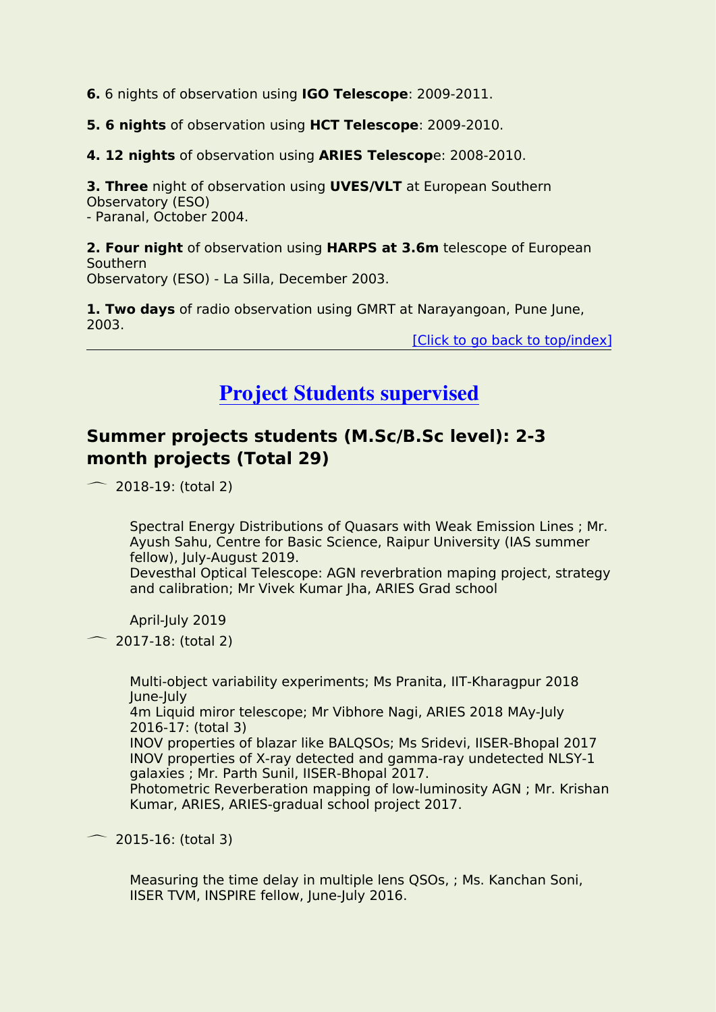**6.** 6 nights of observation using **IGO Telescope**: 2009-2011.

**5. 6 nights** of observation using **HCT Telescope**: 2009-2010.

**4. 12 nights** of observation using **ARIES Telescop**e: 2008-2010.

**3. Three** night of observation using **UVES/VLT** at European Southern Observatory (ESO) - Paranal, October 2004.

**2. Four night** of observation using **HARPS at 3.6m** telescope of European Southern

Observatory (ESO) - La Silla, December 2003.

**1. Two days** of radio observation using GMRT at Narayangoan, Pune June, 2003.

[Click to go back to [top/index\]](#page-0-0)

# <span id="page-21-0"></span>**Project Students supervised**

# **Summer projects students (M.Sc/B.Sc level): 2-3 month projects (Total 29)**

 $\sim$  2018-19: (total 2)

Spectral Energy Distributions of Quasars with Weak Emission Lines ; Mr. Ayush Sahu, Centre for Basic Science, Raipur University (IAS summer fellow), July-August 2019.

Devesthal Optical Telescope: AGN reverbration maping project, strategy and calibration; Mr Vivek Kumar Jha, ARIES Grad school

April-July 2019

 $\sim$  2017-18: (total 2)

Multi-object variability experiments; Ms Pranita, IIT-Kharagpur 2018 June-July 4m Liquid miror telescope; Mr Vibhore Nagi, ARIES 2018 MAy-July 2016-17: (total 3) INOV properties of blazar like BALQSOs; Ms Sridevi, IISER-Bhopal 2017 INOV properties of X-ray detected and gamma-ray undetected NLSY-1 galaxies ; Mr. Parth Sunil, IISER-Bhopal 2017. Photometric Reverberation mapping of low-luminosity AGN ; Mr. Krishan Kumar, ARIES, ARIES-gradual school project 2017.

2015-16: (total 3)

Measuring the time delay in multiple lens QSOs, ; Ms. Kanchan Soni, IISER TVM, INSPIRE fellow, June-July 2016.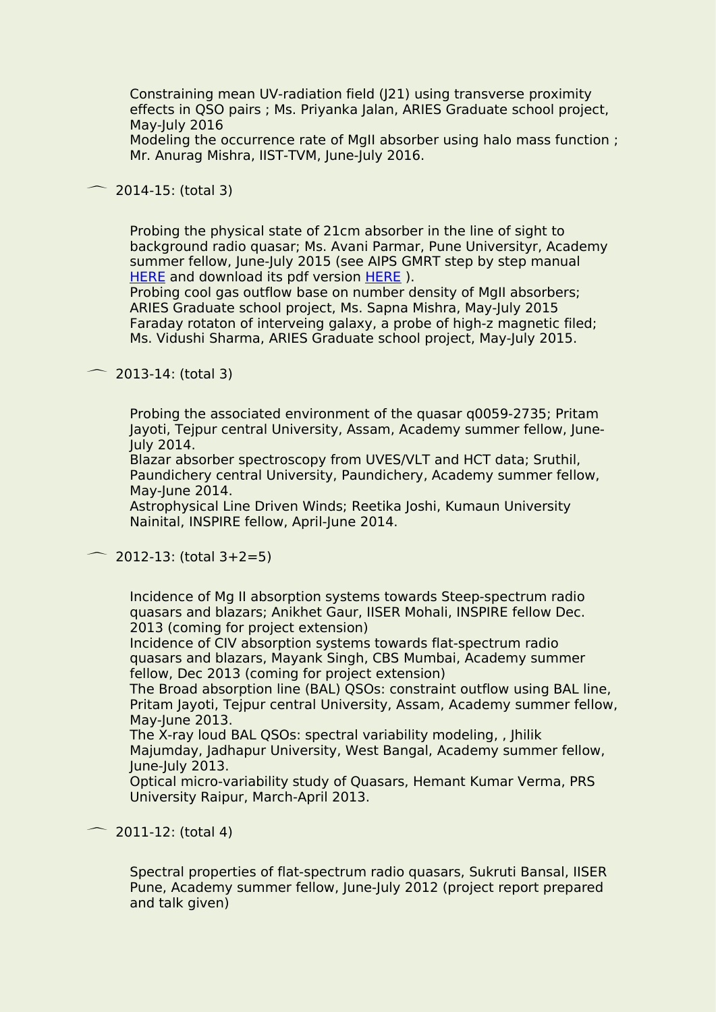Constraining mean UV-radiation field (J21) using transverse proximity effects in QSO pairs ; Ms. Priyanka Jalan, ARIES Graduate school project, May-July 2016

Modeling the occurrence rate of MgII absorber using halo mass function ; Mr. Anurag Mishra, IIST-TVM, June-July 2016.

 $\sim$  2014-15: (total 3)

Probing the physical state of 21cm absorber in the line of sight to background radio quasar; Ms. Avani Parmar, Pune Universityr, Academy summer fellow, June-July 2015 (see AIPS GMRT step by step manual [HERE](http://www.aries.res.in/~hum/aips/gmrt_manual_avani.pdf) and download its pdf version HERE ).

Probing cool gas outflow base on number density of MgII absorbers; ARIES Graduate school project, Ms. Sapna Mishra, May-July 2015 Faraday rotaton of interveing galaxy, a probe of high-z magnetic filed; Ms. Vidushi Sharma, ARIES Graduate school project, May-July 2015.

 $\sim$  2013-14: (total 3)

Probing the associated environment of the quasar q0059-2735; Pritam Jayoti, Tejpur central University, Assam, Academy summer fellow, June-July 2014.

Blazar absorber spectroscopy from UVES/VLT and HCT data; Sruthil, Paundichery central University, Paundichery, Academy summer fellow, May-June 2014.

Astrophysical Line Driven Winds; Reetika Joshi, Kumaun University Nainital, INSPIRE fellow, April-June 2014.

 $\sim$  2012-13: (total 3+2=5)

Incidence of Mg II absorption systems towards Steep-spectrum radio quasars and blazars; Anikhet Gaur, IISER Mohali, INSPIRE fellow Dec. 2013 (coming for project extension)

Incidence of CIV absorption systems towards flat-spectrum radio quasars and blazars, Mayank Singh, CBS Mumbai, Academy summer fellow, Dec 2013 (coming for project extension)

The Broad absorption line (BAL) QSOs: constraint outflow using BAL line, Pritam Jayoti, Tejpur central University, Assam, Academy summer fellow, May-June 2013.

The X-ray loud BAL QSOs: spectral variability modeling, , Jhilik Majumday, Jadhapur University, West Bangal, Academy summer fellow, June-July 2013.

Optical micro-variability study of Quasars, Hemant Kumar Verma, PRS University Raipur, March-April 2013.

 $\sim$  2011-12: (total 4)

Spectral properties of flat-spectrum radio quasars, Sukruti Bansal, IISER Pune, Academy summer fellow, June-July 2012 (project report prepared and talk given)